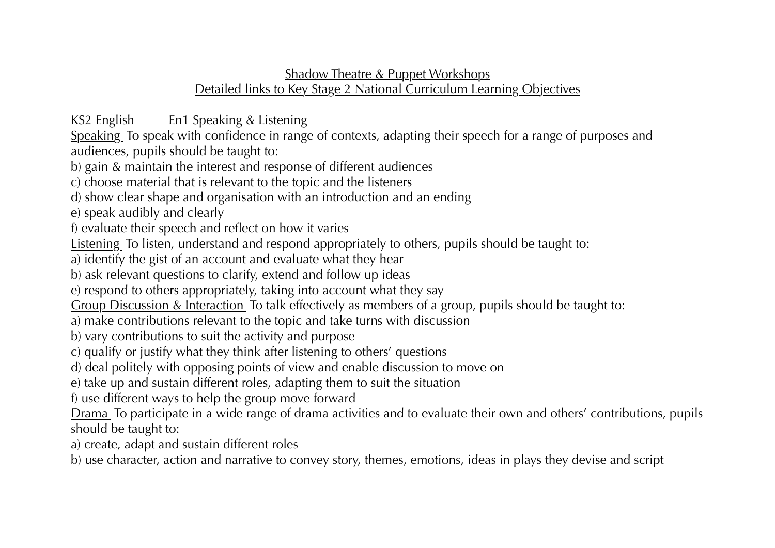## Shadow Theatre & Puppet Workshops Detailed links to Key Stage 2 National Curriculum Learning Objectives

KS2 English En1 Speaking & Listening

Speaking. To speak with confidence in range of contexts, adapting their speech for a range of purposes and audiences, pupils should be taught to:

b) gain & maintain the interest and response of different audiences

c) choose material that is relevant to the topic and the listeners

d) show clear shape and organisation with an introduction and an ending

e) speak audibly and clearly

f) evaluate their speech and reflect on how it varies

Listening To listen, understand and respond appropriately to others, pupils should be taught to:

a) identify the gist of an account and evaluate what they hear

b) ask relevant questions to clarify, extend and follow up ideas

e) respond to others appropriately, taking into account what they say

Group Discussion & Interaction To talk effectively as members of a group, pupils should be taught to:

a) make contributions relevant to the topic and take turns with discussion

b) vary contributions to suit the activity and purpose

c) qualify or justify what they think after listening to others' questions

d) deal politely with opposing points of view and enable discussion to move on

e) take up and sustain different roles, adapting them to suit the situation

f) use different ways to help the group move forward

Drama To participate in a wide range of drama activities and to evaluate their own and others' contributions, pupils should be taught to:

a) create, adapt and sustain different roles

b) use character, action and narrative to convey story, themes, emotions, ideas in plays they devise and script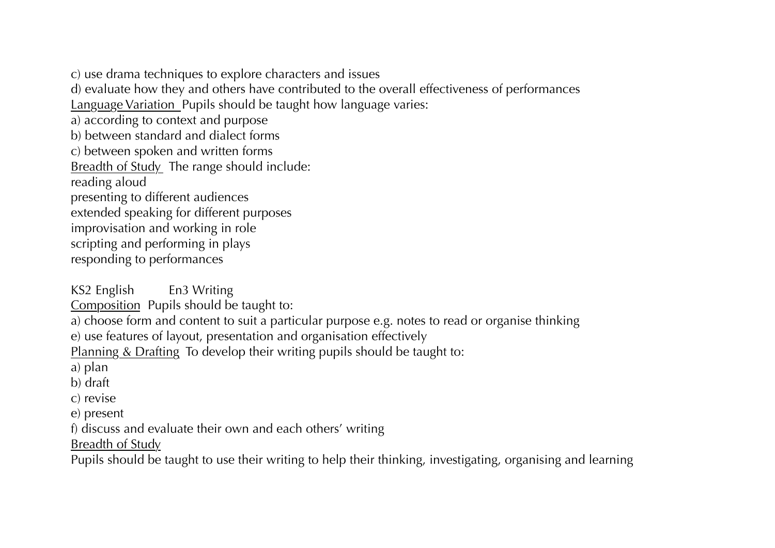c) use drama techniques to explore characters and issues

d) evaluate how they and others have contributed to the overall effectiveness of performances

Language Variation Pupils should be taught how language varies:

a) according to context and purpose

b) between standard and dialect forms

c) between spoken and written forms

Breadth of Study The range should include:

reading aloud

presenting to different audiences

extended speaking for different purposes

improvisation and working in role

scripting and performing in plays

responding to performances

KS2 English En3 Writing

Composition Pupils should be taught to:

a) choose form and content to suit a particular purpose e.g. notes to read or organise thinking

e) use features of layout, presentation and organisation effectively

Planning & Drafting To develop their writing pupils should be taught to:

a) plan

b) draft

c) revise

e) present

f) discuss and evaluate their own and each others' writing

Breadth of Study

Pupils should be taught to use their writing to help their thinking, investigating, organising and learning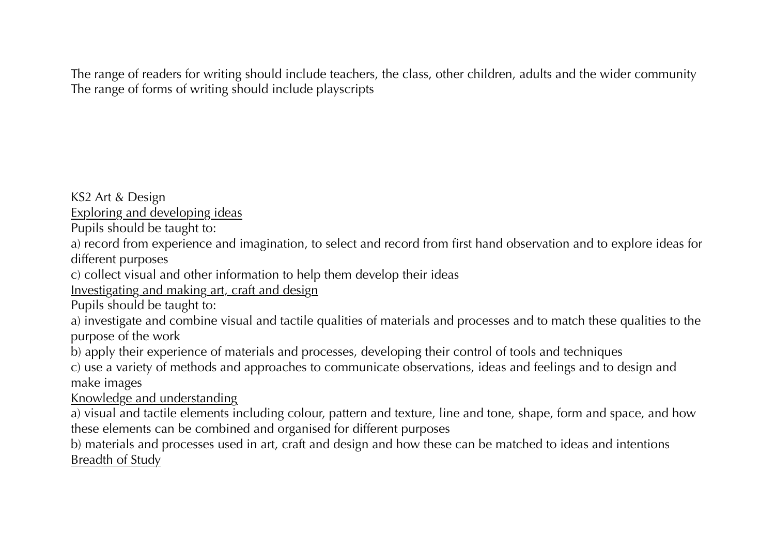The range of readers for writing should include teachers, the class, other children, adults and the wider community The range of forms of writing should include playscripts

KS2 Art & Design

Exploring and developing ideas

Pupils should be taught to:

a) record from experience and imagination, to select and record from first hand observation and to explore ideas for different purposes

c) collect visual and other information to help them develop their ideas

Investigating and making art, craft and design

Pupils should be taught to:

a) investigate and combine visual and tactile qualities of materials and processes and to match these qualities to the purpose of the work

b) apply their experience of materials and processes, developing their control of tools and techniques

c) use a variety of methods and approaches to communicate observations, ideas and feelings and to design and make images

Knowledge and understanding

a) visual and tactile elements including colour, pattern and texture, line and tone, shape, form and space, and how these elements can be combined and organised for different purposes

b) materials and processes used in art, craft and design and how these can be matched to ideas and intentions Breadth of Study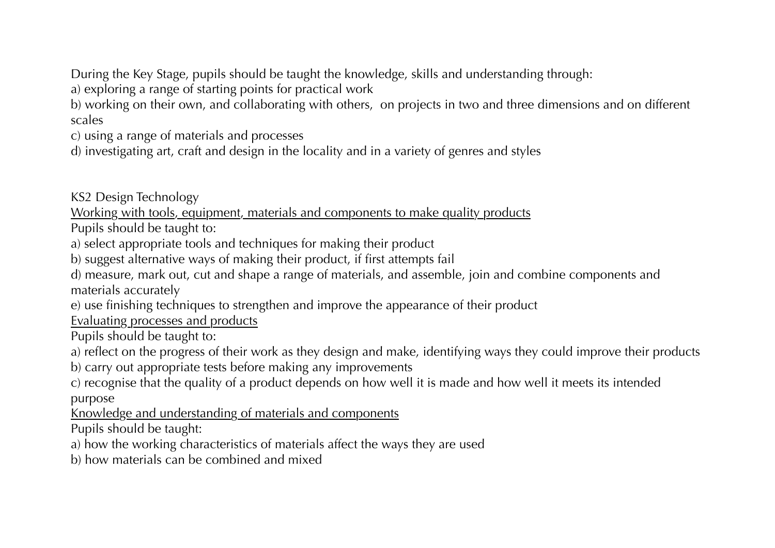During the Key Stage, pupils should be taught the knowledge, skills and understanding through:

a) exploring a range of starting points for practical work

b) working on their own, and collaborating with others, on projects in two and three dimensions and on different scales

c) using a range of materials and processes

d) investigating art, craft and design in the locality and in a variety of genres and styles

KS2 Design Technology

Working with tools, equipment, materials and components to make quality products

Pupils should be taught to:

a) select appropriate tools and techniques for making their product

b) suggest alternative ways of making their product, if first attempts fail

d) measure, mark out, cut and shape a range of materials, and assemble, join and combine components and materials accurately

e) use finishing techniques to strengthen and improve the appearance of their product

Evaluating processes and products

Pupils should be taught to:

a) reflect on the progress of their work as they design and make, identifying ways they could improve their products

b) carry out appropriate tests before making any improvements

c) recognise that the quality of a product depends on how well it is made and how well it meets its intended purpose

Knowledge and understanding of materials and components

Pupils should be taught:

a) how the working characteristics of materials affect the ways they are used

b) how materials can be combined and mixed